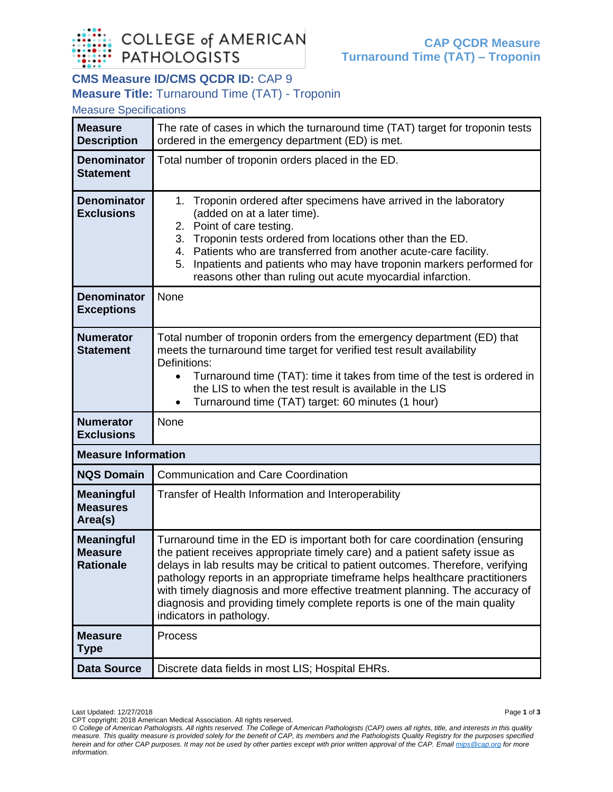

## **CMS Measure ID/CMS QCDR ID: CAP 9**

**Measure Title:** Turnaround Time (TAT) - Troponin

## Measure Specifications

| <b>Measure</b><br><b>Description</b>             | The rate of cases in which the turnaround time (TAT) target for troponin tests<br>ordered in the emergency department (ED) is met.                                                                                                                                                                                                                                                                                                                                                                                      |
|--------------------------------------------------|-------------------------------------------------------------------------------------------------------------------------------------------------------------------------------------------------------------------------------------------------------------------------------------------------------------------------------------------------------------------------------------------------------------------------------------------------------------------------------------------------------------------------|
| <b>Denominator</b><br><b>Statement</b>           | Total number of troponin orders placed in the ED.                                                                                                                                                                                                                                                                                                                                                                                                                                                                       |
| <b>Denominator</b><br><b>Exclusions</b>          | Troponin ordered after specimens have arrived in the laboratory<br>1.<br>(added on at a later time).<br>2. Point of care testing.<br>Troponin tests ordered from locations other than the ED.<br>3.<br>Patients who are transferred from another acute-care facility.<br>4.<br>Inpatients and patients who may have troponin markers performed for<br>5.<br>reasons other than ruling out acute myocardial infarction.                                                                                                  |
| <b>Denominator</b><br><b>Exceptions</b>          | None                                                                                                                                                                                                                                                                                                                                                                                                                                                                                                                    |
| <b>Numerator</b><br><b>Statement</b>             | Total number of troponin orders from the emergency department (ED) that<br>meets the turnaround time target for verified test result availability<br>Definitions:<br>Turnaround time (TAT): time it takes from time of the test is ordered in<br>the LIS to when the test result is available in the LIS<br>Turnaround time (TAT) target: 60 minutes (1 hour)<br>$\bullet$                                                                                                                                              |
| <b>Numerator</b><br><b>Exclusions</b>            | None                                                                                                                                                                                                                                                                                                                                                                                                                                                                                                                    |
| <b>Measure Information</b>                       |                                                                                                                                                                                                                                                                                                                                                                                                                                                                                                                         |
| <b>NQS Domain</b>                                | <b>Communication and Care Coordination</b>                                                                                                                                                                                                                                                                                                                                                                                                                                                                              |
| <b>Meaningful</b><br><b>Measures</b><br>Area(s)  | Transfer of Health Information and Interoperability                                                                                                                                                                                                                                                                                                                                                                                                                                                                     |
| <b>Meaningful</b><br><b>Measure</b><br>Rationale | Turnaround time in the ED is important both for care coordination (ensuring<br>the patient receives appropriate timely care) and a patient safety issue as<br>delays in lab results may be critical to patient outcomes. Therefore, verifying<br>pathology reports in an appropriate timeframe helps healthcare practitioners<br>with timely diagnosis and more effective treatment planning. The accuracy of<br>diagnosis and providing timely complete reports is one of the main quality<br>indicators in pathology. |
| <b>Measure</b><br><b>Type</b>                    | Process                                                                                                                                                                                                                                                                                                                                                                                                                                                                                                                 |
| <b>Data Source</b>                               | Discrete data fields in most LIS; Hospital EHRs.                                                                                                                                                                                                                                                                                                                                                                                                                                                                        |

Last Updated: 12/27/2018 Page **1** of **3**

CPT copyright: 2018 American Medical Association. All rights reserved.

*<sup>©</sup> College of American Pathologists. All rights reserved. The College of American Pathologists (CAP) owns all rights, title, and interests in this quality measure. This quality measure is provided solely for the benefit of CAP, its members and the Pathologists Quality Registry for the purposes specified herein and for other CAP purposes. It may not be used by other parties except with prior written approval of the CAP. Emai[l mips@cap.org](mailto:mips@cap.org) for more information.*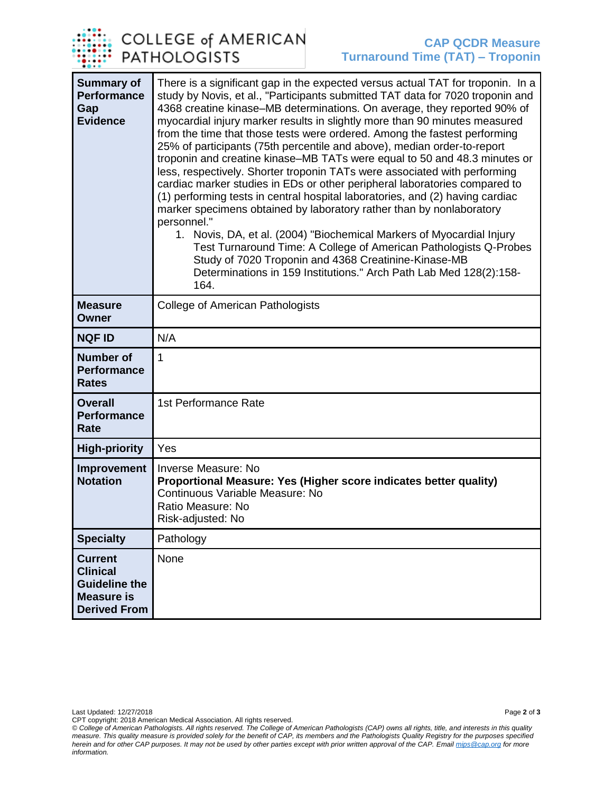COLLEGE of AMERICAN<br>PATHOLOGISTS

| <b>Summary of</b><br><b>Performance</b><br>Gap<br><b>Evidence</b>                                     | There is a significant gap in the expected versus actual TAT for troponin. In a<br>study by Novis, et al., "Participants submitted TAT data for 7020 troponin and<br>4368 creatine kinase–MB determinations. On average, they reported 90% of<br>myocardial injury marker results in slightly more than 90 minutes measured<br>from the time that those tests were ordered. Among the fastest performing<br>25% of participants (75th percentile and above), median order-to-report<br>troponin and creatine kinase–MB TATs were equal to 50 and 48.3 minutes or<br>less, respectively. Shorter troponin TATs were associated with performing<br>cardiac marker studies in EDs or other peripheral laboratories compared to<br>(1) performing tests in central hospital laboratories, and (2) having cardiac<br>marker specimens obtained by laboratory rather than by nonlaboratory<br>personnel."<br>1. Novis, DA, et al. (2004) "Biochemical Markers of Myocardial Injury<br>Test Turnaround Time: A College of American Pathologists Q-Probes<br>Study of 7020 Troponin and 4368 Creatinine-Kinase-MB<br>Determinations in 159 Institutions." Arch Path Lab Med 128(2):158-<br>164. |
|-------------------------------------------------------------------------------------------------------|-----------------------------------------------------------------------------------------------------------------------------------------------------------------------------------------------------------------------------------------------------------------------------------------------------------------------------------------------------------------------------------------------------------------------------------------------------------------------------------------------------------------------------------------------------------------------------------------------------------------------------------------------------------------------------------------------------------------------------------------------------------------------------------------------------------------------------------------------------------------------------------------------------------------------------------------------------------------------------------------------------------------------------------------------------------------------------------------------------------------------------------------------------------------------------------------|
| <b>Measure</b><br><b>Owner</b>                                                                        | College of American Pathologists                                                                                                                                                                                                                                                                                                                                                                                                                                                                                                                                                                                                                                                                                                                                                                                                                                                                                                                                                                                                                                                                                                                                                        |
| <b>NQF ID</b>                                                                                         | N/A                                                                                                                                                                                                                                                                                                                                                                                                                                                                                                                                                                                                                                                                                                                                                                                                                                                                                                                                                                                                                                                                                                                                                                                     |
| <b>Number of</b><br><b>Performance</b><br><b>Rates</b>                                                | 1                                                                                                                                                                                                                                                                                                                                                                                                                                                                                                                                                                                                                                                                                                                                                                                                                                                                                                                                                                                                                                                                                                                                                                                       |
| <b>Overall</b><br><b>Performance</b><br>Rate                                                          | 1st Performance Rate                                                                                                                                                                                                                                                                                                                                                                                                                                                                                                                                                                                                                                                                                                                                                                                                                                                                                                                                                                                                                                                                                                                                                                    |
| <b>High-priority</b>                                                                                  | Yes                                                                                                                                                                                                                                                                                                                                                                                                                                                                                                                                                                                                                                                                                                                                                                                                                                                                                                                                                                                                                                                                                                                                                                                     |
| <b>Improvement</b><br><b>Notation</b>                                                                 | Inverse Measure: No<br>Proportional Measure: Yes (Higher score indicates better quality)<br>Continuous Variable Measure: No<br>Ratio Measure: No<br>Risk-adjusted: No                                                                                                                                                                                                                                                                                                                                                                                                                                                                                                                                                                                                                                                                                                                                                                                                                                                                                                                                                                                                                   |
| <b>Specialty</b>                                                                                      | Pathology                                                                                                                                                                                                                                                                                                                                                                                                                                                                                                                                                                                                                                                                                                                                                                                                                                                                                                                                                                                                                                                                                                                                                                               |
| <b>Current</b><br><b>Clinical</b><br><b>Guideline the</b><br><b>Measure is</b><br><b>Derived From</b> | None                                                                                                                                                                                                                                                                                                                                                                                                                                                                                                                                                                                                                                                                                                                                                                                                                                                                                                                                                                                                                                                                                                                                                                                    |

Last Updated: 12/27/2018 Page **2** of **3** CPT copyright: 2018 American Medical Association. All rights reserved.

*<sup>©</sup> College of American Pathologists. All rights reserved. The College of American Pathologists (CAP) owns all rights, title, and interests in this quality measure. This quality measure is provided solely for the benefit of CAP, its members and the Pathologists Quality Registry for the purposes specified herein and for other CAP purposes. It may not be used by other parties except with prior written approval of the CAP. Emai[l mips@cap.org](mailto:mips@cap.org) for more information.*